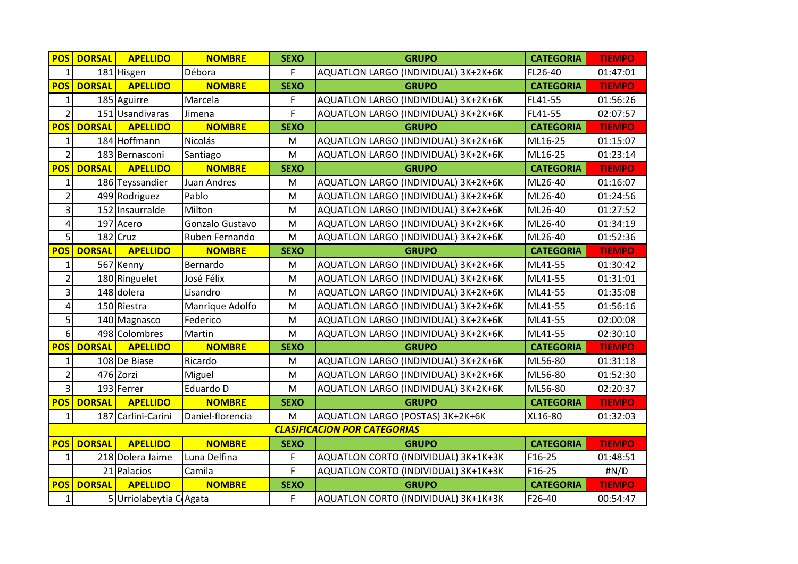| <b>POS</b>              | <b>DORSAL</b> | <b>APELLIDO</b>        | <b>NOMBRE</b>      | <b>SEXO</b> | <b>GRUPO</b>                         | <b>CATEGORIA</b> | <b>TIEMPO</b> |
|-------------------------|---------------|------------------------|--------------------|-------------|--------------------------------------|------------------|---------------|
| $\mathbf{1}$            |               | 181 Hisgen             | Débora             | F           | AQUATLON LARGO (INDIVIDUAL) 3K+2K+6K | FL26-40          | 01:47:01      |
| <b>POS</b>              | <b>DORSAL</b> | <b>APELLIDO</b>        | <b>NOMBRE</b>      | <b>SEXO</b> | <b>GRUPO</b>                         | <b>CATEGORIA</b> | <b>TIEMPO</b> |
| 1                       |               | 185 Aguirre            | Marcela            | F           | AQUATLON LARGO (INDIVIDUAL) 3K+2K+6K | FL41-55          | 01:56:26      |
| $\overline{2}$          |               | 151 Usandivaras        | Jimena             | F           | AQUATLON LARGO (INDIVIDUAL) 3K+2K+6K | FL41-55          | 02:07:57      |
| <b>POS</b>              | <b>DORSAL</b> | <b>APELLIDO</b>        | <b>NOMBRE</b>      | <b>SEXO</b> | <b>GRUPO</b>                         | <b>CATEGORIA</b> | <b>TIEMPO</b> |
| $\mathbf{1}$            |               | 184 Hoffmann           | Nicolás            | M           | AQUATLON LARGO (INDIVIDUAL) 3K+2K+6K | ML16-25          | 01:15:07      |
| $\overline{2}$          |               | 183 Bernasconi         | Santiago           | M           | AQUATLON LARGO (INDIVIDUAL) 3K+2K+6K | ML16-25          | 01:23:14      |
| <b>POS</b>              | <b>DORSAL</b> | <b>APELLIDO</b>        | <b>NOMBRE</b>      | <b>SEXO</b> | <b>GRUPO</b>                         | <b>CATEGORIA</b> | <b>TIEMPO</b> |
| $\mathbf{1}$            |               | 186 Teyssandier        | <b>Juan Andres</b> | M           | AQUATLON LARGO (INDIVIDUAL) 3K+2K+6K | ML26-40          | 01:16:07      |
| $\overline{2}$          |               | 499 Rodriguez          | Pablo              | M           | AQUATLON LARGO (INDIVIDUAL) 3K+2K+6K | ML26-40          | 01:24:56      |
| 3                       |               | 152 Insaurralde        | Milton             | M           | AQUATLON LARGO (INDIVIDUAL) 3K+2K+6K | ML26-40          | 01:27:52      |
| $\overline{\mathbf{4}}$ |               | 197 Acero              | Gonzalo Gustavo    | M           | AQUATLON LARGO (INDIVIDUAL) 3K+2K+6K | ML26-40          | 01:34:19      |
| 5                       |               | 182 Cruz               | Ruben Fernando     | M           | AQUATLON LARGO (INDIVIDUAL) 3K+2K+6K | ML26-40          | 01:52:36      |
| <b>POS</b>              | <b>DORSAL</b> | <b>APELLIDO</b>        | <b>NOMBRE</b>      | <b>SEXO</b> | <b>GRUPO</b>                         | <b>CATEGORIA</b> | <b>TIEMPO</b> |
| 1                       |               | 567 Kenny              | Bernardo           | M           | AQUATLON LARGO (INDIVIDUAL) 3K+2K+6K | ML41-55          | 01:30:42      |
| $\overline{2}$          |               | 180 Ringuelet          | José Félix         | M           | AQUATLON LARGO (INDIVIDUAL) 3K+2K+6K | ML41-55          | 01:31:01      |
| 3                       |               | 148 dolera             | Lisandro           | M           | AQUATLON LARGO (INDIVIDUAL) 3K+2K+6K | ML41-55          | 01:35:08      |
| $\overline{\mathbf{4}}$ |               | 150 Riestra            | Manrique Adolfo    | M           | AQUATLON LARGO (INDIVIDUAL) 3K+2K+6K | ML41-55          | 01:56:16      |
| 5                       |               | 140 Magnasco           | Federico           | M           | AQUATLON LARGO (INDIVIDUAL) 3K+2K+6K | ML41-55          | 02:00:08      |
| 6                       |               | 498 Colombres          | Martin             | M           | AQUATLON LARGO (INDIVIDUAL) 3K+2K+6K | ML41-55          | 02:30:10      |
| <b>POS</b>              | <b>DORSAL</b> | <b>APELLIDO</b>        | <b>NOMBRE</b>      | <b>SEXO</b> | <b>GRUPO</b>                         | <b>CATEGORIA</b> | <b>TIEMPO</b> |
| 1                       |               | 108 De Biase           | Ricardo            | M           | AQUATLON LARGO (INDIVIDUAL) 3K+2K+6K | ML56-80          | 01:31:18      |
| $\overline{2}$          |               | 476 Zorzi              | Miguel             | M           | AQUATLON LARGO (INDIVIDUAL) 3K+2K+6K | ML56-80          | 01:52:30      |
| $\overline{3}$          |               | 193 Ferrer             | Eduardo D          | M           | AQUATLON LARGO (INDIVIDUAL) 3K+2K+6K | ML56-80          | 02:20:37      |
| <b>POS</b>              | <b>DORSAL</b> | <b>APELLIDO</b>        | <b>NOMBRE</b>      | <b>SEXO</b> | <b>GRUPO</b>                         | <b>CATEGORIA</b> | <b>TIEMPO</b> |
| $\mathbf{1}$            |               | 187 Carlini-Carini     | Daniel-florencia   | M           | AQUATLON LARGO (POSTAS) 3K+2K+6K     | XL16-80          | 01:32:03      |
|                         |               |                        |                    |             | <b>CLASIFICACION POR CATEGORIAS</b>  |                  |               |
| <b>POS</b>              | <b>DORSAL</b> | <b>APELLIDO</b>        | <b>NOMBRE</b>      | <b>SEXO</b> | <b>GRUPO</b>                         | <b>CATEGORIA</b> | <b>TIEMPO</b> |
| $\mathbf 1$             |               | 218 Dolera Jaime       | Luna Delfina       | F           | AQUATLON CORTO (INDIVIDUAL) 3K+1K+3K | F16-25           | 01:48:51      |
|                         |               | 21 Palacios            | Camila             | F           | AQUATLON CORTO (INDIVIDUAL) 3K+1K+3K | F16-25           | #N/D          |
| <b>POS</b>              | <b>DORSAL</b> | <b>APELLIDO</b>        | <b>NOMBRE</b>      | <b>SEXO</b> | <b>GRUPO</b>                         | <b>CATEGORIA</b> | <b>TIEMPO</b> |
| $\mathbf{1}$            |               | 5 Urriolabeytia CAgata |                    | F           | AQUATLON CORTO (INDIVIDUAL) 3K+1K+3K | F26-40           | 00:54:47      |